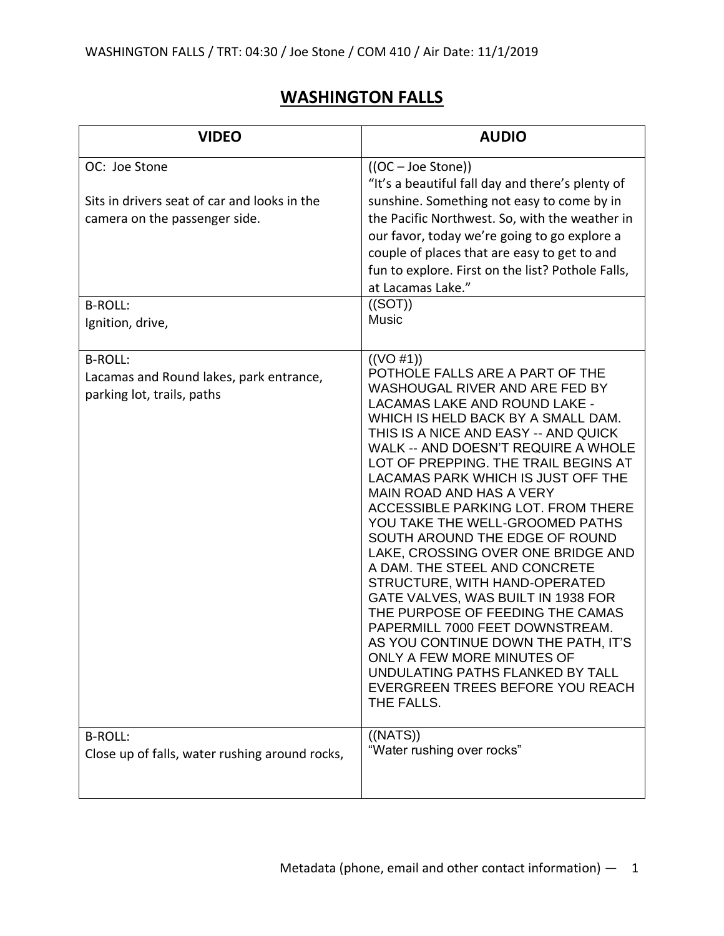## **WASHINGTON FALLS**

| <b>VIDEO</b>                                                                                                                         | <b>AUDIO</b>                                                                                                                                                                                                                                                                                                                                                                                                                                                                                                                                                                                                                                                                                                                                                                                                                              |
|--------------------------------------------------------------------------------------------------------------------------------------|-------------------------------------------------------------------------------------------------------------------------------------------------------------------------------------------------------------------------------------------------------------------------------------------------------------------------------------------------------------------------------------------------------------------------------------------------------------------------------------------------------------------------------------------------------------------------------------------------------------------------------------------------------------------------------------------------------------------------------------------------------------------------------------------------------------------------------------------|
| OC: Joe Stone<br>Sits in drivers seat of car and looks in the<br>camera on the passenger side.<br><b>B-ROLL:</b><br>Ignition, drive, | $((OC - Joe Stone))$<br>"It's a beautiful fall day and there's plenty of<br>sunshine. Something not easy to come by in<br>the Pacific Northwest. So, with the weather in<br>our favor, today we're going to go explore a<br>couple of places that are easy to get to and<br>fun to explore. First on the list? Pothole Falls,<br>at Lacamas Lake."<br>((SOT))<br><b>Music</b>                                                                                                                                                                                                                                                                                                                                                                                                                                                             |
| <b>B-ROLL:</b><br>Lacamas and Round lakes, park entrance,<br>parking lot, trails, paths                                              | ((VO H1))<br>POTHOLE FALLS ARE A PART OF THE<br>WASHOUGAL RIVER AND ARE FED BY<br>LACAMAS LAKE AND ROUND LAKE -<br>WHICH IS HELD BACK BY A SMALL DAM.<br>THIS IS A NICE AND EASY -- AND QUICK<br>WALK -- AND DOESN'T REQUIRE A WHOLE<br>LOT OF PREPPING. THE TRAIL BEGINS AT<br>LACAMAS PARK WHICH IS JUST OFF THE<br>MAIN ROAD AND HAS A VERY<br>ACCESSIBLE PARKING LOT. FROM THERE<br>YOU TAKE THE WELL-GROOMED PATHS<br>SOUTH AROUND THE EDGE OF ROUND<br>LAKE, CROSSING OVER ONE BRIDGE AND<br>A DAM. THE STEEL AND CONCRETE<br>STRUCTURE, WITH HAND-OPERATED<br>GATE VALVES, WAS BUILT IN 1938 FOR<br>THE PURPOSE OF FEEDING THE CAMAS<br>PAPERMILL 7000 FEET DOWNSTREAM.<br>AS YOU CONTINUE DOWN THE PATH, IT'S<br>ONLY A FEW MORE MINUTES OF<br>UNDULATING PATHS FLANKED BY TALL<br>EVERGREEN TREES BEFORE YOU REACH<br>THE FALLS. |
| <b>B-ROLL:</b><br>Close up of falls, water rushing around rocks,                                                                     | ((NATS))<br>"Water rushing over rocks"                                                                                                                                                                                                                                                                                                                                                                                                                                                                                                                                                                                                                                                                                                                                                                                                    |